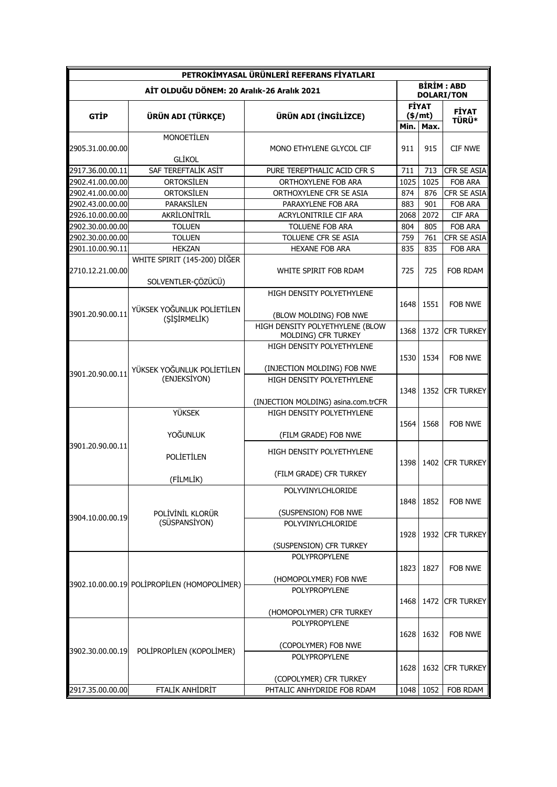| PETROKİMYASAL ÜRÜNLERİ REFERANS FİYATLARI  |                                                    |                                                          |                                        |                                   |                              |
|--------------------------------------------|----------------------------------------------------|----------------------------------------------------------|----------------------------------------|-----------------------------------|------------------------------|
| AİT OLDUĞU DÖNEM: 20 Aralık-26 Aralık 2021 |                                                    |                                                          | <b>BİRİM: ABD</b><br><b>DOLARI/TON</b> |                                   |                              |
| <b>GTIP</b>                                | ÜRÜN ADI (TÜRKÇE)                                  | ÜRÜN ADI (İNGİLİZCE)                                     | Min.                                   | <b>FİYAT</b><br>$(\$/mt)$<br>Max. | <b>FİYAT</b><br><b>TÜRÜ*</b> |
|                                            | <b>MONOETILEN</b>                                  |                                                          |                                        |                                   |                              |
| 2905.31.00.00.00                           | <b>GLİKOL</b>                                      | MONO ETHYLENE GLYCOL CIF                                 | 911                                    | 915                               | <b>CIF NWE</b>               |
| 2917.36.00.00.11                           | SAF TEREFTALİK ASİT                                | PURE TEREPTHALIC ACID CFR S                              | 711                                    | 713                               | CFR SE ASIA                  |
| 2902.41.00.00.00                           | ORTOKSİLEN                                         | ORTHOXYLENE FOB ARA                                      | 1025                                   | 1025                              | FOB ARA                      |
| 2902.41.00.00.00                           | ORTOKSİLEN                                         | ORTHOXYLENE CFR SE ASIA                                  | 874                                    | 876                               | CFR SE ASIA                  |
| 2902.43.00.00.00                           | PARAKSİLEN                                         | PARAXYLENE FOB ARA                                       | 883                                    | 901                               | FOB ARA                      |
| 2926.10.00.00.00                           | AKRİLONİTRİL                                       | ACRYLONITRILE CIF ARA                                    | 2068                                   | 2072                              | <b>CIF ARA</b>               |
| 2902.30.00.00.00                           | <b>TOLUEN</b>                                      | <b>TOLUENE FOB ARA</b>                                   | 804                                    | 805                               | <b>FOB ARA</b>               |
| 2902.30.00.00.00                           | <b>TOLUEN</b>                                      | TOLUENE CFR SE ASIA                                      | 759                                    | 761                               | CFR SE ASIA                  |
| 2901.10.00.90.11                           | <b>HEKZAN</b>                                      | <b>HEXANE FOB ARA</b>                                    | 835                                    | 835                               | FOB ARA                      |
| 2710.12.21.00.00                           | WHITE SPIRIT (145-200) DIGER<br>SOLVENTLER-ÇÖZÜCÜ) | WHITE SPIRIT FOB RDAM                                    | 725                                    | 725                               | FOB RDAM                     |
| 3901.20.90.00.11                           | YÜKSEK YOĞUNLUK POLİETİLEN<br>(SİŞİRMELİK)         | HIGH DENSITY POLYETHYLENE                                | 1648                                   | 1551                              | FOB NWE                      |
|                                            |                                                    | (BLOW MOLDING) FOB NWE                                   |                                        |                                   |                              |
|                                            |                                                    | HIGH DENSITY POLYETHYLENE (BLOW<br>MOLDING) CFR TURKEY   | 1368                                   | 1372                              | <b>CFR TURKEY</b>            |
| 3901.20.90.00.11                           | YÜKSEK YOĞUNLUK POLİETİLEN<br>(ENJEKSİYON)         | HIGH DENSITY POLYETHYLENE<br>(INJECTION MOLDING) FOB NWE | 1530                                   | 1534                              | FOB NWE                      |
|                                            |                                                    | HIGH DENSITY POLYETHYLENE                                | 1348                                   | 1352                              | <b>CFR TURKEY</b>            |
|                                            |                                                    | (INJECTION MOLDING) asina.com.trCFR                      |                                        |                                   |                              |
| 3901.20.90.00.11                           | <b>YÜKSEK</b><br><b>YOĞUNLUK</b>                   | HIGH DENSITY POLYETHYLENE<br>(FILM GRADE) FOB NWE        | 1564                                   | 1568                              | FOB NWE                      |
|                                            | <b>POLİETİLEN</b>                                  | HIGH DENSITY POLYETHYLENE                                | 1398                                   |                                   | 1402 ICFR TURKEY             |
|                                            | (FİLMLİK)                                          | (FILM GRADE) CFR TURKEY                                  |                                        |                                   |                              |
| 3904.10.00.00.19                           | POLİVİNİL KLORÜR<br>(SÜSPANSİYON)                  | POLYVINYLCHLORIDE<br>(SUSPENSION) FOB NWE                | 1848                                   | 1852                              | <b>FOB NWE</b>               |
|                                            |                                                    | POLYVINYLCHLORIDE<br>(SUSPENSION) CFR TURKEY             | 1928                                   | 1932                              | <b>CFR TURKEY</b>            |
|                                            | 3902.10.00.00.19 POLİPROPİLEN (HOMOPOLİMER)        | POLYPROPYLENE<br>(HOMOPOLYMER) FOB NWE                   | 1823                                   | 1827                              | FOB NWE                      |
|                                            |                                                    | POLYPROPYLENE<br>(HOMOPOLYMER) CFR TURKEY                | 1468                                   | 1472                              | <b>CFR TURKEY</b>            |
| 3902.30.00.00.19                           | POLİPROPİLEN (KOPOLİMER)                           | <b>POLYPROPYLENE</b><br>(COPOLYMER) FOB NWE              | 1628                                   | 1632                              | FOB NWE                      |
|                                            |                                                    | POLYPROPYLENE<br>(COPOLYMER) CFR TURKEY                  | 1628                                   | 1632                              | CFR TURKEY                   |
| 2917.35.00.00.00                           | FTALİK ANHİDRİT                                    | PHTALIC ANHYDRIDE FOB RDAM                               | 1048                                   | 1052                              | FOB RDAM                     |